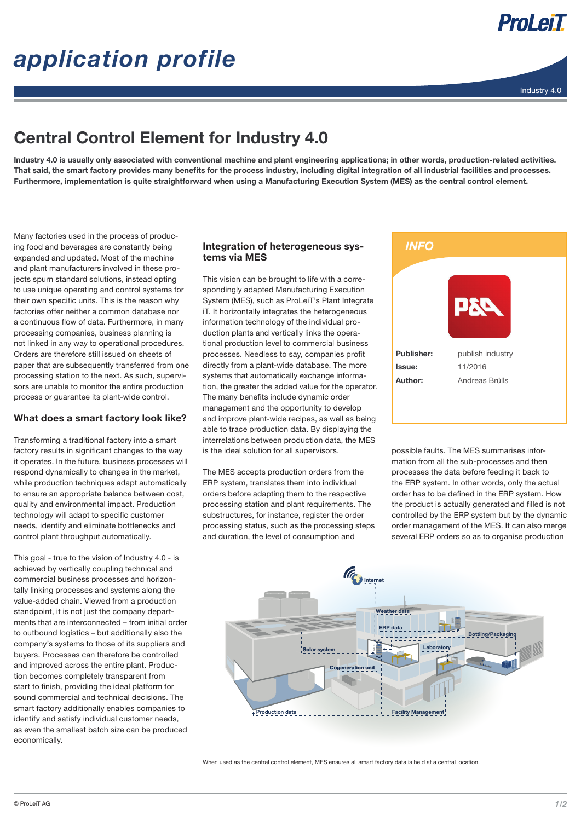# *application profile*



ProLeiT



## Central Control Element for Industry 4.0

Industry 4.0 is usually only associated with conventional machine and plant engineering applications; in other words, production-related activities. That said, the smart factory provides many benefits for the process industry, including digital integration of all industrial facilities and processes. Furthermore, implementation is quite straightforward when using a Manufacturing Execution System (MES) as the central control element.

Many factories used in the process of producing food and beverages are constantly being expanded and updated. Most of the machine and plant manufacturers involved in these projects spurn standard solutions, instead opting to use unique operating and control systems for their own specific units. This is the reason why factories offer neither a common database nor a continuous flow of data. Furthermore, in many processing companies, business planning is not linked in any way to operational procedures. Orders are therefore still issued on sheets of paper that are subsequently transferred from one processing station to the next. As such, supervisors are unable to monitor the entire production process or guarantee its plant-wide control.

### What does a smart factory look like?

Transforming a traditional factory into a smart factory results in significant changes to the way it operates. In the future, business processes will respond dynamically to changes in the market, while production techniques adapt automatically to ensure an appropriate balance between cost, quality and environmental impact. Production technology will adapt to specific customer needs, identify and eliminate bottlenecks and control plant throughput automatically.

This goal - true to the vision of Industry 4.0 - is achieved by vertically coupling technical and commercial business processes and horizontally linking processes and systems along the value-added chain. Viewed from a production standpoint, it is not just the company departments that are interconnected – from initial order to outbound logistics – but additionally also the company's systems to those of its suppliers and buyers. Processes can therefore be controlled and improved across the entire plant. Production becomes completely transparent from start to finish, providing the ideal platform for sound commercial and technical decisions. The smart factory additionally enables companies to identify and satisfy individual customer needs, as even the smallest batch size can be produced economically.

#### Integration of heterogeneous systems via MES

This vision can be brought to life with a correspondingly adapted Manufacturing Execution System (MES), such as ProLeiT's Plant Integrate iT. It horizontally integrates the heterogeneous information technology of the individual production plants and vertically links the operational production level to commercial business processes. Needless to say, companies profit directly from a plant-wide database. The more systems that automatically exchange information, the greater the added value for the operator. The many benefits include dynamic order management and the opportunity to develop and improve plant-wide recipes, as well as being able to trace production data. By displaying the interrelations between production data, the MES is the ideal solution for all supervisors.

The MES accepts production orders from the ERP system, translates them into individual orders before adapting them to the respective processing station and plant requirements. The substructures, for instance, register the order processing status, such as the processing steps and duration, the level of consumption and



possible faults. The MES summarises information from all the sub-processes and then processes the data before feeding it back to the ERP system. In other words, only the actual order has to be defined in the ERP system. How the product is actually generated and filled is not controlled by the ERP system but by the dynamic order management of the MES. It can also merge several ERP orders so as to organise production